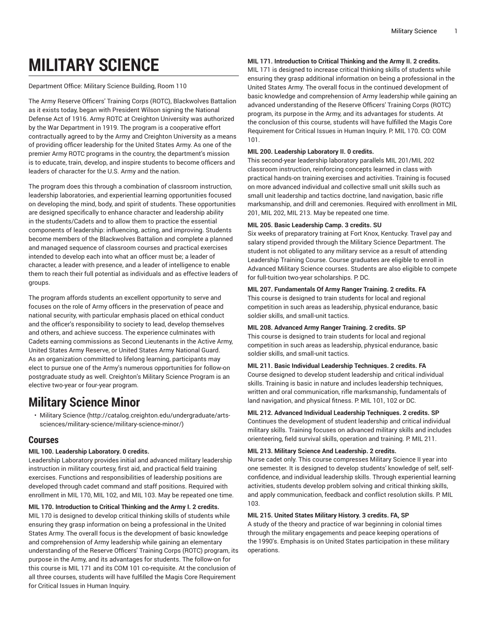# **MILITARY SCIENCE**

Department Office: Military Science Building, Room 110

The Army Reserve Officers' Training Corps (ROTC), Blackwolves Battalion as it exists today, began with President Wilson signing the National Defense Act of 1916. Army ROTC at Creighton University was authorized by the War Department in 1919. The program is a cooperative effort contractually agreed to by the Army and Creighton University as a means of providing officer leadership for the United States Army. As one of the premier Army ROTC programs in the country, the department's mission is to educate, train, develop, and inspire students to become officers and leaders of character for the U.S. Army and the nation.

The program does this through a combination of classroom instruction, leadership laboratories, and experiential learning opportunities focused on developing the mind, body, and spirit of students. These opportunities are designed specifically to enhance character and leadership ability in the students/Cadets and to allow them to practice the essential components of leadership: influencing, acting, and improving. Students become members of the Blackwolves Battalion and complete a planned and managed sequence of classroom courses and practical exercises intended to develop each into what an officer must be; a leader of character, a leader with presence, and a leader of intelligence to enable them to reach their full potential as individuals and as effective leaders of groups.

The program affords students an excellent opportunity to serve and focuses on the role of Army officers in the preservation of peace and national security, with particular emphasis placed on ethical conduct and the officer's responsibility to society to lead, develop themselves and others, and achieve success. The experience culminates with Cadets earning commissions as Second Lieutenants in the Active Army, United States Army Reserve, or United States Army National Guard. As an organization committed to lifelong learning, participants may elect to pursue one of the Army's numerous opportunities for follow-on postgraduate study as well. Creighton's Military Science Program is an elective two-year or four-year program.

## **Military Science Minor**

• Military [Science](http://catalog.creighton.edu/undergraduate/arts-sciences/military-science/military-science-minor/) [\(http://catalog.creighton.edu/undergraduate/arts](http://catalog.creighton.edu/undergraduate/arts-sciences/military-science/military-science-minor/)[sciences/military-science/military-science-minor/](http://catalog.creighton.edu/undergraduate/arts-sciences/military-science/military-science-minor/))

### **Courses**

#### **MIL 100. Leadership Laboratory. 0 credits.**

Leadership Laboratory provides initial and advanced military leadership instruction in military courtesy, first aid, and practical field training exercises. Functions and responsibilities of leadership positions are developed through cadet command and staff positions. Required with enrollment in MIL 170, MIL 102, and MIL 103. May be repeated one time.

#### **MIL 170. Introduction to Critical Thinking and the Army I. 2 credits.**

MIL 170 is designed to develop critical thinking skills of students while ensuring they grasp information on being a professional in the United States Army. The overall focus is the development of basic knowledge and comprehension of Army leadership while gaining an elementary understanding of the Reserve Officers' Training Corps (ROTC) program, its purpose in the Army, and its advantages for students. The follow-on for this course is MIL 171 and its COM 101 co-requisite. At the conclusion of all three courses, students will have fulfilled the Magis Core Requirement for Critical Issues in Human Inquiry.

#### **MIL 171. Introduction to Critical Thinking and the Army II. 2 credits.**

MIL 171 is designed to increase critical thinking skills of students while ensuring they grasp additional information on being a professional in the United States Army. The overall focus in the continued development of basic knowledge and comprehension of Army leadership while gaining an advanced understanding of the Reserve Officers' Training Corps (ROTC) program, its purpose in the Army, and its advantages for students. At the conclusion of this course, students will have fulfilled the Magis Core Requirement for Critical Issues in Human Inquiry. P: MIL 170. CO: COM 101.

#### **MIL 200. Leadership Laboratory II. 0 credits.**

This second-year leadership laboratory parallels MIL 201/MIL 202 classroom instruction, reinforcing concepts learned in class with practical hands-on training exercises and activities. Training is focused on more advanced individual and collective small unit skills such as small unit leadership and tactics doctrine, land navigation, basic rifle marksmanship, and drill and ceremonies. Required with enrollment in MIL 201, MIL 202, MIL 213. May be repeated one time.

#### **MIL 205. Basic Leadership Camp. 3 credits. SU**

Six weeks of preparatory training at Fort Knox, Kentucky. Travel pay and salary stipend provided through the Military Science Department. The student is not obligated to any military service as a result of attending Leadership Training Course. Course graduates are eligible to enroll in Advanced Military Science courses. Students are also eligible to compete for full-tuition two-year scholarships. P. DC.

#### **MIL 207. Fundamentals Of Army Ranger Training. 2 credits. FA**

This course is designed to train students for local and regional competition in such areas as leadership, physical endurance, basic soldier skills, and small-unit tactics.

#### **MIL 208. Advanced Army Ranger Training. 2 credits. SP**

This course is designed to train students for local and regional competition in such areas as leadership, physical endurance, basic soldier skills, and small-unit tactics.

#### **MIL 211. Basic Individual Leadership Techniques. 2 credits. FA**

Course designed to develop student leadership and critical individual skills. Training is basic in nature and includes leadership techniques, written and oral communication, rifle marksmanship, fundamentals of land navigation, and physical fitness. P. MIL 101, 102 or DC.

#### **MIL 212. Advanced Individual Leadership Techniques. 2 credits. SP** Continues the development of student leadership and critical individual military skills. Training focuses on advanced military skills and includes orienteering, field survival skills, operation and training. P: MIL 211.

#### **MIL 213. Military Science And Leadership. 2 credits.**

Nurse cadet only. This course compresses Military Science II year into one semester. It is designed to develop students' knowledge of self, selfconfidence, and individual leadership skills. Through experiential learning activities, students develop problem solving and critical thinking skills, and apply communication, feedback and conflict resolution skills. P. MIL 103.

#### **MIL 215. United States Military History. 3 credits. FA, SP**

A study of the theory and practice of war beginning in colonial times through the military engagements and peace keeping operations of the 1990's. Emphasis is on United States participation in these military operations.